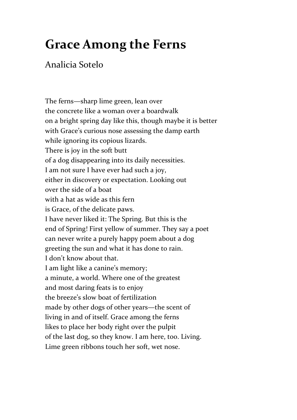## **Grace Among the Ferns**

## Analicia Sotelo

The ferns—sharp lime green, lean over the concrete like a woman over a boardwalk on a bright spring day like this, though maybe it is better with Grace's curious nose assessing the damp earth while ignoring its copious lizards. There is joy in the soft butt of a dog disappearing into its daily necessities. I am not sure I have ever had such a joy, either in discovery or expectation. Looking out over the side of a boat with a hat as wide as this fern is Grace, of the delicate paws. I have never liked it: The Spring. But this is the end of Spring! First yellow of summer. They say a poet can never write a purely happy poem about a dog greeting the sun and what it has done to rain. I don't know about that. I am light like a canine's memory; a minute, a world. Where one of the greatest and most daring feats is to enjoy the breeze's slow boat of fertilization made by other dogs of other years—the scent of living in and of itself. Grace among the ferns likes to place her body right over the pulpit of the last dog, so they know. I am here, too. Living. Lime green ribbons touch her soft, wet nose.